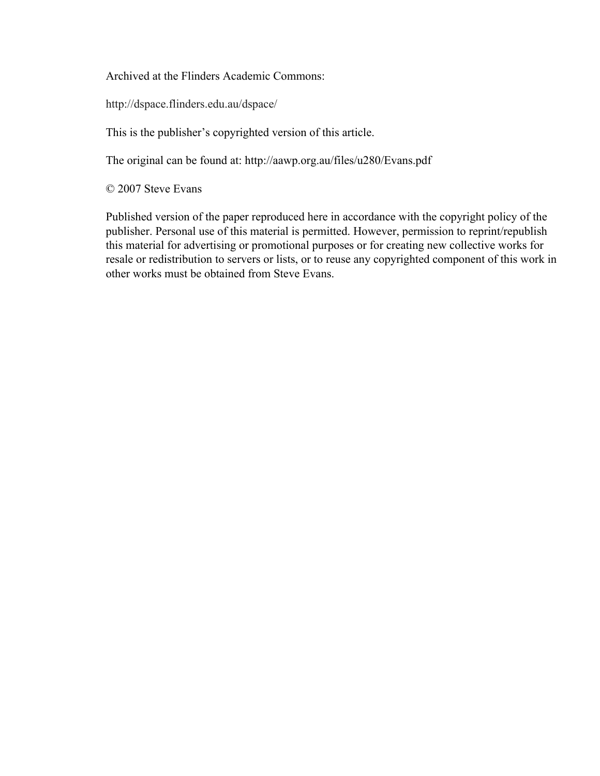Archived at the Flinders Academic Commons:

http://dspace.flinders.edu.au/dspace/

This is the publisher's copyrighted version of this article.

The original can be found at: http://aawp.org.au/files/u280/Evans.pdf

© 2007 Steve Evans

Published version of the paper reproduced here in accordance with the copyright policy of the publisher. Personal use of this material is permitted. However, permission to reprint/republish this material for advertising or promotional purposes or for creating new collective works for resale or redistribution to servers or lists, or to reuse any copyrighted component of this work in other works must be obtained from Steve Evans.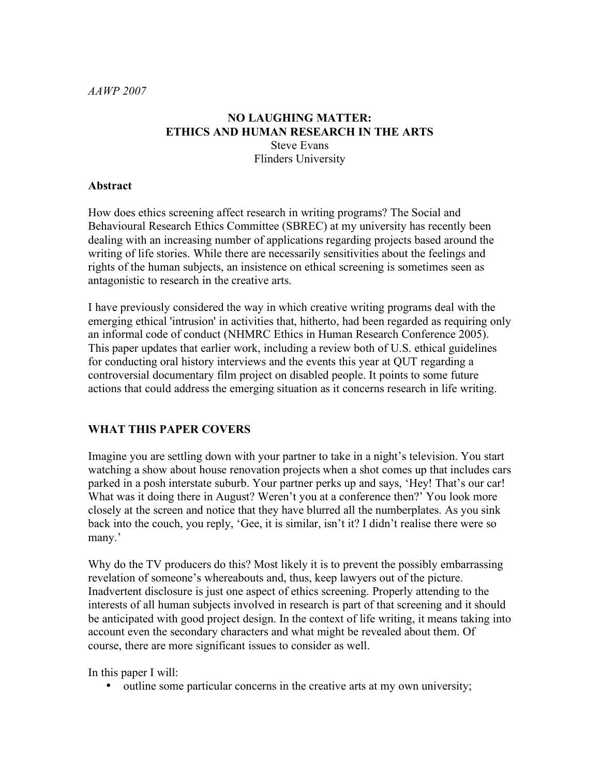#### **NO LAUGHING MATTER: ETHICS AND HUMAN RESEARCH IN THE ARTS** Steve Evans Flinders University

#### **Abstract**

How does ethics screening affect research in writing programs? The Social and Behavioural Research Ethics Committee (SBREC) at my university has recently been dealing with an increasing number of applications regarding projects based around the writing of life stories. While there are necessarily sensitivities about the feelings and rights of the human subjects, an insistence on ethical screening is sometimes seen as antagonistic to research in the creative arts.

I have previously considered the way in which creative writing programs deal with the emerging ethical 'intrusion' in activities that, hitherto, had been regarded as requiring only an informal code of conduct (NHMRC Ethics in Human Research Conference 2005). This paper updates that earlier work, including a review both of U.S. ethical guidelines for conducting oral history interviews and the events this year at QUT regarding a controversial documentary film project on disabled people. It points to some future actions that could address the emerging situation as it concerns research in life writing.

## **WHAT THIS PAPER COVERS**

Imagine you are settling down with your partner to take in a night's television. You start watching a show about house renovation projects when a shot comes up that includes cars parked in a posh interstate suburb. Your partner perks up and says, 'Hey! That's our car! What was it doing there in August? Weren't you at a conference then?' You look more closely at the screen and notice that they have blurred all the numberplates. As you sink back into the couch, you reply, 'Gee, it is similar, isn't it? I didn't realise there were so many.'

Why do the TV producers do this? Most likely it is to prevent the possibly embarrassing revelation of someone's whereabouts and, thus, keep lawyers out of the picture. Inadvertent disclosure is just one aspect of ethics screening. Properly attending to the interests of all human subjects involved in research is part of that screening and it should be anticipated with good project design. In the context of life writing, it means taking into account even the secondary characters and what might be revealed about them. Of course, there are more significant issues to consider as well.

In this paper I will:

• outline some particular concerns in the creative arts at my own university;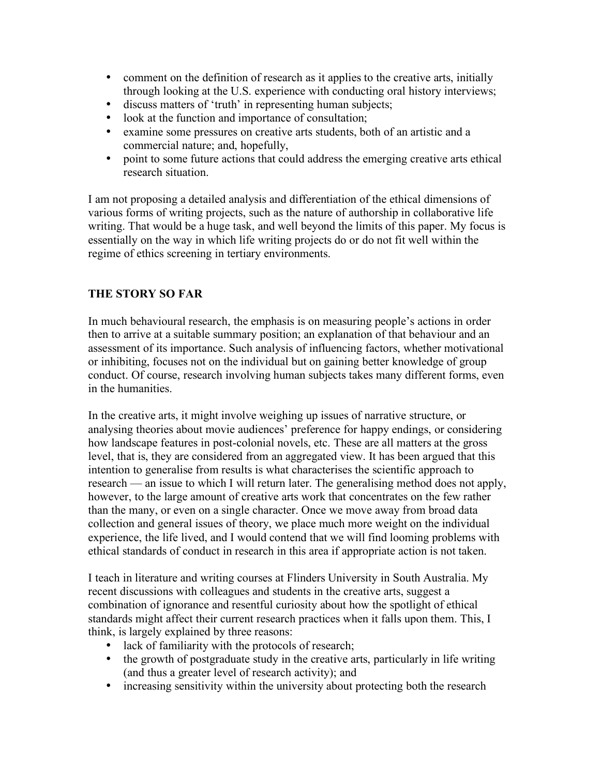- comment on the definition of research as it applies to the creative arts, initially through looking at the U.S. experience with conducting oral history interviews;
- discuss matters of 'truth' in representing human subjects;
- look at the function and importance of consultation;
- examine some pressures on creative arts students, both of an artistic and a commercial nature; and, hopefully,
- point to some future actions that could address the emerging creative arts ethical research situation.

I am not proposing a detailed analysis and differentiation of the ethical dimensions of various forms of writing projects, such as the nature of authorship in collaborative life writing. That would be a huge task, and well beyond the limits of this paper. My focus is essentially on the way in which life writing projects do or do not fit well within the regime of ethics screening in tertiary environments.

# **THE STORY SO FAR**

In much behavioural research, the emphasis is on measuring people's actions in order then to arrive at a suitable summary position; an explanation of that behaviour and an assessment of its importance. Such analysis of influencing factors, whether motivational or inhibiting, focuses not on the individual but on gaining better knowledge of group conduct. Of course, research involving human subjects takes many different forms, even in the humanities.

In the creative arts, it might involve weighing up issues of narrative structure, or analysing theories about movie audiences' preference for happy endings, or considering how landscape features in post-colonial novels, etc. These are all matters at the gross level, that is, they are considered from an aggregated view. It has been argued that this intention to generalise from results is what characterises the scientific approach to research — an issue to which I will return later. The generalising method does not apply, however, to the large amount of creative arts work that concentrates on the few rather than the many, or even on a single character. Once we move away from broad data collection and general issues of theory, we place much more weight on the individual experience, the life lived, and I would contend that we will find looming problems with ethical standards of conduct in research in this area if appropriate action is not taken.

I teach in literature and writing courses at Flinders University in South Australia. My recent discussions with colleagues and students in the creative arts, suggest a combination of ignorance and resentful curiosity about how the spotlight of ethical standards might affect their current research practices when it falls upon them. This, I think, is largely explained by three reasons:

- lack of familiarity with the protocols of research;
- the growth of postgraduate study in the creative arts, particularly in life writing (and thus a greater level of research activity); and
- increasing sensitivity within the university about protecting both the research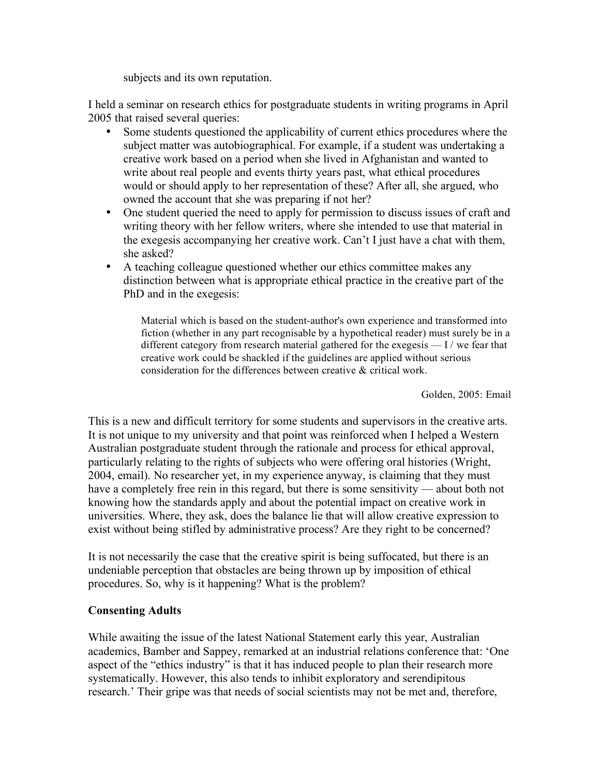subjects and its own reputation.

I held a seminar on research ethics for postgraduate students in writing programs in April 2005 that raised several queries:

- Some students questioned the applicability of current ethics procedures where the subject matter was autobiographical. For example, if a student was undertaking a creative work based on a period when she lived in Afghanistan and wanted to write about real people and events thirty years past, what ethical procedures would or should apply to her representation of these? After all, she argued, who owned the account that she was preparing if not her?
- One student queried the need to apply for permission to discuss issues of craft and writing theory with her fellow writers, where she intended to use that material in the exegesis accompanying her creative work. Can't I just have a chat with them, she asked?
- A teaching colleague questioned whether our ethics committee makes any distinction between what is appropriate ethical practice in the creative part of the PhD and in the exegesis:

Material which is based on the student-author's own experience and transformed into fiction (whether in any part recognisable by a hypothetical reader) must surely be in a different category from research material gathered for the exegesis — I / we fear that creative work could be shackled if the guidelines are applied without serious consideration for the differences between creative & critical work.

Golden, 2005: Email

This is a new and difficult territory for some students and supervisors in the creative arts. It is not unique to my university and that point was reinforced when I helped a Western Australian postgraduate student through the rationale and process for ethical approval, particularly relating to the rights of subjects who were offering oral histories (Wright, 2004, email). No researcher yet, in my experience anyway, is claiming that they must have a completely free rein in this regard, but there is some sensitivity — about both not knowing how the standards apply and about the potential impact on creative work in universities. Where, they ask, does the balance lie that will allow creative expression to exist without being stifled by administrative process? Are they right to be concerned?

It is not necessarily the case that the creative spirit is being suffocated, but there is an undeniable perception that obstacles are being thrown up by imposition of ethical procedures. So, why is it happening? What is the problem?

## **Consenting Adults**

While awaiting the issue of the latest National Statement early this year, Australian academics, Bamber and Sappey, remarked at an industrial relations conference that: 'One aspect of the "ethics industry" is that it has induced people to plan their research more systematically. However, this also tends to inhibit exploratory and serendipitous research.' Their gripe was that needs of social scientists may not be met and, therefore,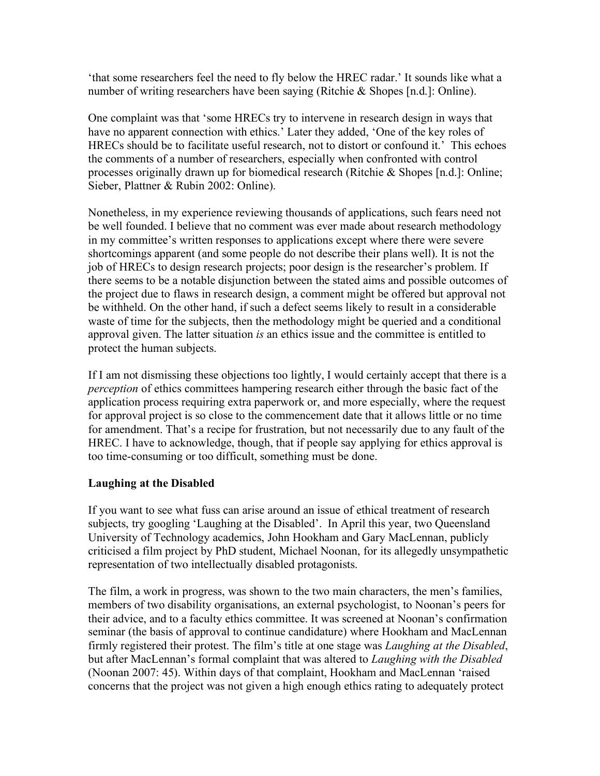'that some researchers feel the need to fly below the HREC radar.' It sounds like what a number of writing researchers have been saying (Ritchie & Shopes [n.d.]: Online).

One complaint was that 'some HRECs try to intervene in research design in ways that have no apparent connection with ethics.' Later they added, 'One of the key roles of HRECs should be to facilitate useful research, not to distort or confound it.' This echoes the comments of a number of researchers, especially when confronted with control processes originally drawn up for biomedical research (Ritchie & Shopes [n.d.]: Online; Sieber, Plattner & Rubin 2002: Online).

Nonetheless, in my experience reviewing thousands of applications, such fears need not be well founded. I believe that no comment was ever made about research methodology in my committee's written responses to applications except where there were severe shortcomings apparent (and some people do not describe their plans well). It is not the job of HRECs to design research projects; poor design is the researcher's problem. If there seems to be a notable disjunction between the stated aims and possible outcomes of the project due to flaws in research design, a comment might be offered but approval not be withheld. On the other hand, if such a defect seems likely to result in a considerable waste of time for the subjects, then the methodology might be queried and a conditional approval given. The latter situation *is* an ethics issue and the committee is entitled to protect the human subjects.

If I am not dismissing these objections too lightly, I would certainly accept that there is a *perception* of ethics committees hampering research either through the basic fact of the application process requiring extra paperwork or, and more especially, where the request for approval project is so close to the commencement date that it allows little or no time for amendment. That's a recipe for frustration, but not necessarily due to any fault of the HREC. I have to acknowledge, though, that if people say applying for ethics approval is too time-consuming or too difficult, something must be done.

## **Laughing at the Disabled**

If you want to see what fuss can arise around an issue of ethical treatment of research subjects, try googling 'Laughing at the Disabled'. In April this year, two Queensland University of Technology academics, John Hookham and Gary MacLennan, publicly criticised a film project by PhD student, Michael Noonan, for its allegedly unsympathetic representation of two intellectually disabled protagonists.

The film, a work in progress, was shown to the two main characters, the men's families, members of two disability organisations, an external psychologist, to Noonan's peers for their advice, and to a faculty ethics committee. It was screened at Noonan's confirmation seminar (the basis of approval to continue candidature) where Hookham and MacLennan firmly registered their protest. The film's title at one stage was *Laughing at the Disabled*, but after MacLennan's formal complaint that was altered to *Laughing with the Disabled* (Noonan 2007: 45). Within days of that complaint, Hookham and MacLennan 'raised concerns that the project was not given a high enough ethics rating to adequately protect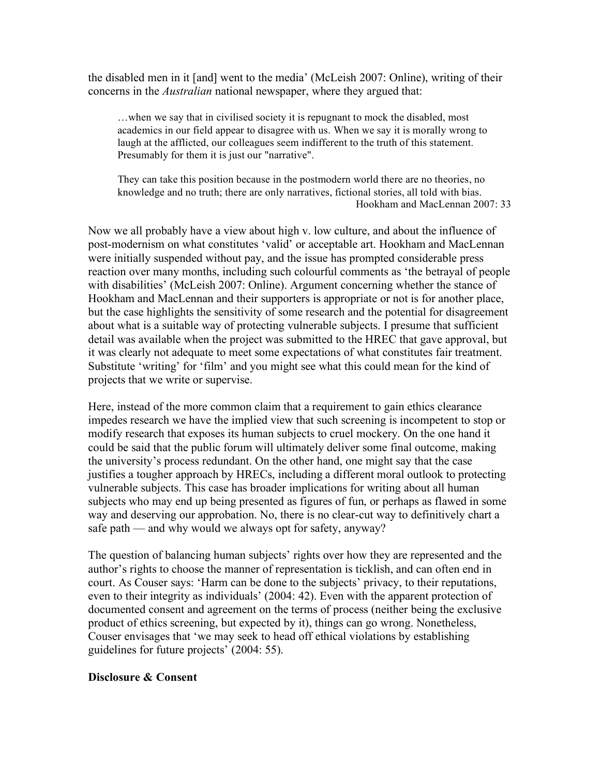the disabled men in it [and] went to the media' (McLeish 2007: Online), writing of their concerns in the *Australian* national newspaper, where they argued that:

…when we say that in civilised society it is repugnant to mock the disabled, most academics in our field appear to disagree with us. When we say it is morally wrong to laugh at the afflicted, our colleagues seem indifferent to the truth of this statement. Presumably for them it is just our "narrative".

They can take this position because in the postmodern world there are no theories, no knowledge and no truth; there are only narratives, fictional stories, all told with bias. Hookham and MacLennan 2007: 33

Now we all probably have a view about high v. low culture, and about the influence of post-modernism on what constitutes 'valid' or acceptable art. Hookham and MacLennan were initially suspended without pay, and the issue has prompted considerable press reaction over many months, including such colourful comments as 'the betrayal of people with disabilities' (McLeish 2007: Online). Argument concerning whether the stance of Hookham and MacLennan and their supporters is appropriate or not is for another place, but the case highlights the sensitivity of some research and the potential for disagreement about what is a suitable way of protecting vulnerable subjects. I presume that sufficient detail was available when the project was submitted to the HREC that gave approval, but it was clearly not adequate to meet some expectations of what constitutes fair treatment. Substitute 'writing' for 'film' and you might see what this could mean for the kind of projects that we write or supervise.

Here, instead of the more common claim that a requirement to gain ethics clearance impedes research we have the implied view that such screening is incompetent to stop or modify research that exposes its human subjects to cruel mockery. On the one hand it could be said that the public forum will ultimately deliver some final outcome, making the university's process redundant. On the other hand, one might say that the case justifies a tougher approach by HRECs, including a different moral outlook to protecting vulnerable subjects. This case has broader implications for writing about all human subjects who may end up being presented as figures of fun, or perhaps as flawed in some way and deserving our approbation. No, there is no clear-cut way to definitively chart a safe path — and why would we always opt for safety, anyway?

The question of balancing human subjects' rights over how they are represented and the author's rights to choose the manner of representation is ticklish, and can often end in court. As Couser says: 'Harm can be done to the subjects' privacy, to their reputations, even to their integrity as individuals' (2004: 42). Even with the apparent protection of documented consent and agreement on the terms of process (neither being the exclusive product of ethics screening, but expected by it), things can go wrong. Nonetheless, Couser envisages that 'we may seek to head off ethical violations by establishing guidelines for future projects' (2004: 55).

#### **Disclosure & Consent**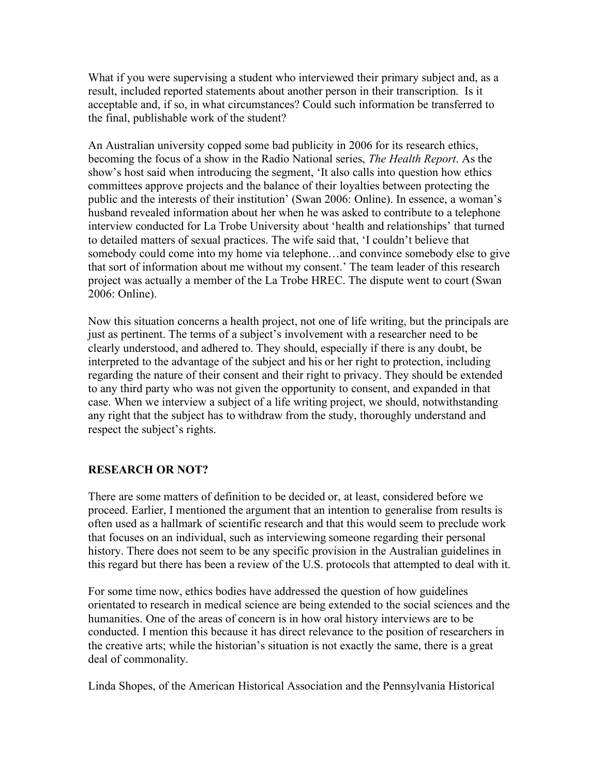What if you were supervising a student who interviewed their primary subject and, as a result, included reported statements about another person in their transcription. Is it acceptable and, if so, in what circumstances? Could such information be transferred to the final, publishable work of the student?

An Australian university copped some bad publicity in 2006 for its research ethics, becoming the focus of a show in the Radio National series, *The Health Report*. As the show's host said when introducing the segment, 'It also calls into question how ethics committees approve projects and the balance of their loyalties between protecting the public and the interests of their institution' (Swan 2006: Online). In essence, a woman's husband revealed information about her when he was asked to contribute to a telephone interview conducted for La Trobe University about 'health and relationships' that turned to detailed matters of sexual practices. The wife said that, 'I couldn't believe that somebody could come into my home via telephone…and convince somebody else to give that sort of information about me without my consent.' The team leader of this research project was actually a member of the La Trobe HREC. The dispute went to court (Swan 2006: Online).

Now this situation concerns a health project, not one of life writing, but the principals are just as pertinent. The terms of a subject's involvement with a researcher need to be clearly understood, and adhered to. They should, especially if there is any doubt, be interpreted to the advantage of the subject and his or her right to protection, including regarding the nature of their consent and their right to privacy. They should be extended to any third party who was not given the opportunity to consent, and expanded in that case. When we interview a subject of a life writing project, we should, notwithstanding any right that the subject has to withdraw from the study, thoroughly understand and respect the subject's rights.

## **RESEARCH OR NOT?**

There are some matters of definition to be decided or, at least, considered before we proceed. Earlier, I mentioned the argument that an intention to generalise from results is often used as a hallmark of scientific research and that this would seem to preclude work that focuses on an individual, such as interviewing someone regarding their personal history. There does not seem to be any specific provision in the Australian guidelines in this regard but there has been a review of the U.S. protocols that attempted to deal with it.

For some time now, ethics bodies have addressed the question of how guidelines orientated to research in medical science are being extended to the social sciences and the humanities. One of the areas of concern is in how oral history interviews are to be conducted. I mention this because it has direct relevance to the position of researchers in the creative arts; while the historian's situation is not exactly the same, there is a great deal of commonality.

Linda Shopes, of the American Historical Association and the Pennsylvania Historical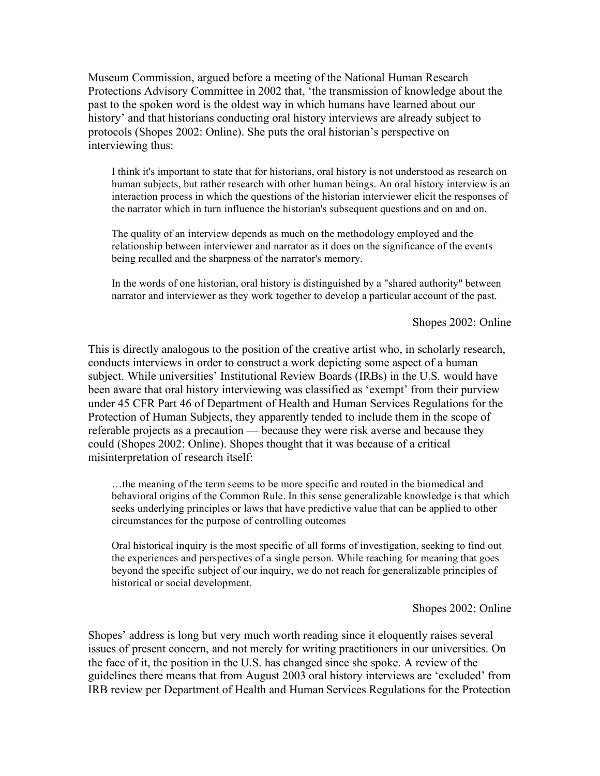Museum Commission, argued before a meeting of the National Human Research Protections Advisory Committee in 2002 that, 'the transmission of knowledge about the past to the spoken word is the oldest way in which humans have learned about our history' and that historians conducting oral history interviews are already subject to protocols (Shopes 2002: Online). She puts the oral historian's perspective on interviewing thus:

I think it's important to state that for historians, oral history is not understood as research on human subjects, but rather research with other human beings. An oral history interview is an interaction process in which the questions of the historian interviewer elicit the responses of the narrator which in turn influence the historian's subsequent questions and on and on.

The quality of an interview depends as much on the methodology employed and the relationship between interviewer and narrator as it does on the significance of the events being recalled and the sharpness of the narrator's memory.

In the words of one historian, oral history is distinguished by a "shared authority" between narrator and interviewer as they work together to develop a particular account of the past.

Shopes 2002: Online

This is directly analogous to the position of the creative artist who, in scholarly research, conducts interviews in order to construct a work depicting some aspect of a human subject. While universities' Institutional Review Boards (IRBs) in the U.S. would have been aware that oral history interviewing was classified as 'exempt' from their purview under 45 CFR Part 46 of Department of Health and Human Services Regulations for the Protection of Human Subjects, they apparently tended to include them in the scope of referable projects as a precaution — because they were risk averse and because they could (Shopes 2002: Online). Shopes thought that it was because of a critical misinterpretation of research itself:

…the meaning of the term seems to be more specific and routed in the biomedical and behavioral origins of the Common Rule. In this sense generalizable knowledge is that which seeks underlying principles or laws that have predictive value that can be applied to other circumstances for the purpose of controlling outcomes

Oral historical inquiry is the most specific of all forms of investigation, seeking to find out the experiences and perspectives of a single person. While reaching for meaning that goes beyond the specific subject of our inquiry, we do not reach for generalizable principles of historical or social development.

Shopes 2002: Online

Shopes' address is long but very much worth reading since it eloquently raises several issues of present concern, and not merely for writing practitioners in our universities. On the face of it, the position in the U.S. has changed since she spoke. A review of the guidelines there means that from August 2003 oral history interviews are 'excluded' from IRB review per Department of Health and Human Services Regulations for the Protection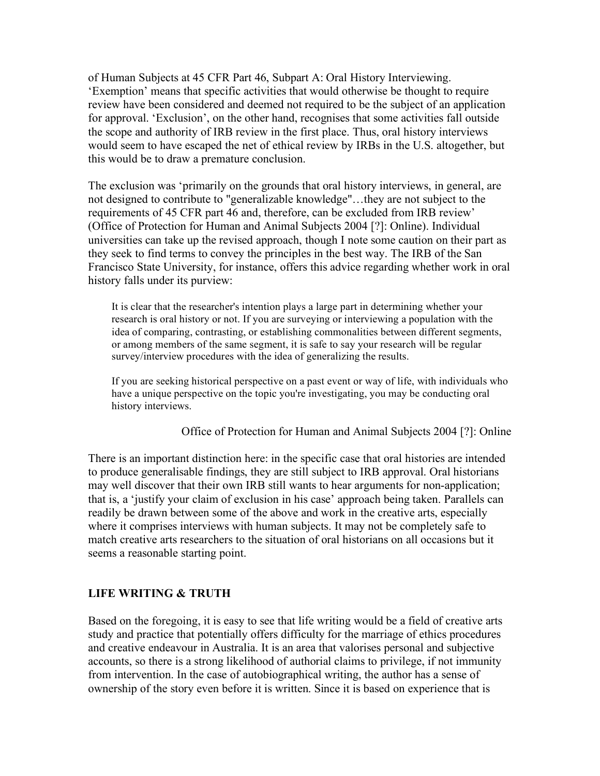of Human Subjects at 45 CFR Part 46, Subpart A: Oral History Interviewing. 'Exemption' means that specific activities that would otherwise be thought to require review have been considered and deemed not required to be the subject of an application for approval. 'Exclusion', on the other hand, recognises that some activities fall outside the scope and authority of IRB review in the first place. Thus, oral history interviews would seem to have escaped the net of ethical review by IRBs in the U.S. altogether, but this would be to draw a premature conclusion.

The exclusion was 'primarily on the grounds that oral history interviews, in general, are not designed to contribute to "generalizable knowledge"…they are not subject to the requirements of 45 CFR part 46 and, therefore, can be excluded from IRB review' (Office of Protection for Human and Animal Subjects 2004 [?]: Online). Individual universities can take up the revised approach, though I note some caution on their part as they seek to find terms to convey the principles in the best way. The IRB of the San Francisco State University, for instance, offers this advice regarding whether work in oral history falls under its purview:

It is clear that the researcher's intention plays a large part in determining whether your research is oral history or not. If you are surveying or interviewing a population with the idea of comparing, contrasting, or establishing commonalities between different segments, or among members of the same segment, it is safe to say your research will be regular survey/interview procedures with the idea of generalizing the results.

If you are seeking historical perspective on a past event or way of life, with individuals who have a unique perspective on the topic you're investigating, you may be conducting oral history interviews.

Office of Protection for Human and Animal Subjects 2004 [?]: Online

There is an important distinction here: in the specific case that oral histories are intended to produce generalisable findings, they are still subject to IRB approval. Oral historians may well discover that their own IRB still wants to hear arguments for non-application; that is, a 'justify your claim of exclusion in his case' approach being taken. Parallels can readily be drawn between some of the above and work in the creative arts, especially where it comprises interviews with human subjects. It may not be completely safe to match creative arts researchers to the situation of oral historians on all occasions but it seems a reasonable starting point.

## **LIFE WRITING & TRUTH**

Based on the foregoing, it is easy to see that life writing would be a field of creative arts study and practice that potentially offers difficulty for the marriage of ethics procedures and creative endeavour in Australia. It is an area that valorises personal and subjective accounts, so there is a strong likelihood of authorial claims to privilege, if not immunity from intervention. In the case of autobiographical writing, the author has a sense of ownership of the story even before it is written. Since it is based on experience that is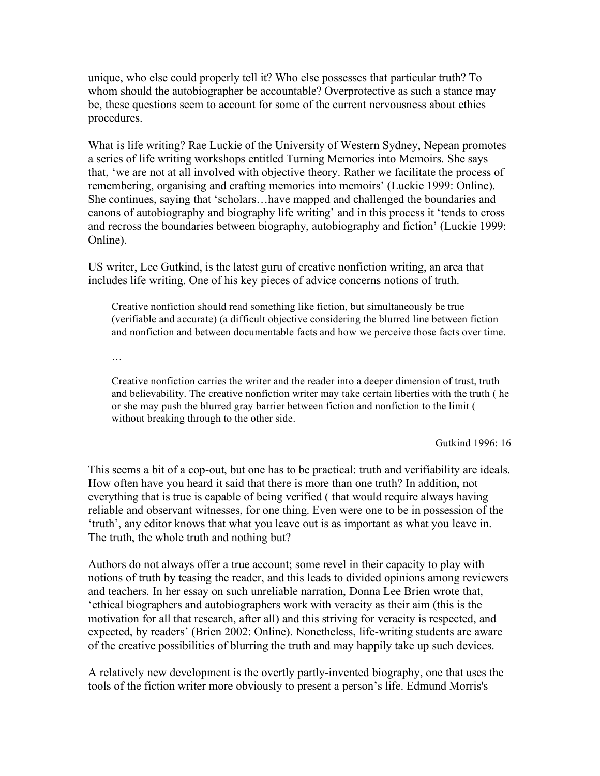unique, who else could properly tell it? Who else possesses that particular truth? To whom should the autobiographer be accountable? Overprotective as such a stance may be, these questions seem to account for some of the current nervousness about ethics procedures.

What is life writing? Rae Luckie of the University of Western Sydney, Nepean promotes a series of life writing workshops entitled Turning Memories into Memoirs. She says that, 'we are not at all involved with objective theory. Rather we facilitate the process of remembering, organising and crafting memories into memoirs' (Luckie 1999: Online). She continues, saying that 'scholars…have mapped and challenged the boundaries and canons of autobiography and biography life writing' and in this process it 'tends to cross and recross the boundaries between biography, autobiography and fiction' (Luckie 1999: Online).

US writer, Lee Gutkind, is the latest guru of creative nonfiction writing, an area that includes life writing. One of his key pieces of advice concerns notions of truth.

Creative nonfiction should read something like fiction, but simultaneously be true (verifiable and accurate) (a difficult objective considering the blurred line between fiction and nonfiction and between documentable facts and how we perceive those facts over time.

…

Creative nonfiction carries the writer and the reader into a deeper dimension of trust, truth and believability. The creative nonfiction writer may take certain liberties with the truth ( he or she may push the blurred gray barrier between fiction and nonfiction to the limit ( without breaking through to the other side.

Gutkind 1996: 16

This seems a bit of a cop-out, but one has to be practical: truth and verifiability are ideals. How often have you heard it said that there is more than one truth? In addition, not everything that is true is capable of being verified ( that would require always having reliable and observant witnesses, for one thing. Even were one to be in possession of the 'truth', any editor knows that what you leave out is as important as what you leave in. The truth, the whole truth and nothing but?

Authors do not always offer a true account; some revel in their capacity to play with notions of truth by teasing the reader, and this leads to divided opinions among reviewers and teachers. In her essay on such unreliable narration, Donna Lee Brien wrote that, 'ethical biographers and autobiographers work with veracity as their aim (this is the motivation for all that research, after all) and this striving for veracity is respected, and expected, by readers' (Brien 2002: Online). Nonetheless, life-writing students are aware of the creative possibilities of blurring the truth and may happily take up such devices.

A relatively new development is the overtly partly-invented biography, one that uses the tools of the fiction writer more obviously to present a person's life. Edmund Morris's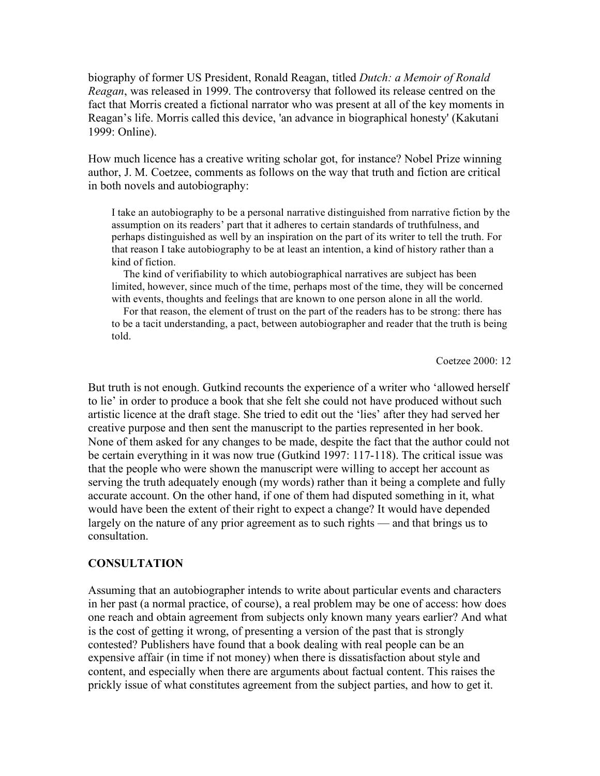biography of former US President, Ronald Reagan, titled *Dutch: a Memoir of Ronald Reagan*, was released in 1999. The controversy that followed its release centred on the fact that Morris created a fictional narrator who was present at all of the key moments in Reagan's life. Morris called this device, 'an advance in biographical honesty' (Kakutani 1999: Online).

How much licence has a creative writing scholar got, for instance? Nobel Prize winning author, J. M. Coetzee, comments as follows on the way that truth and fiction are critical in both novels and autobiography:

I take an autobiography to be a personal narrative distinguished from narrative fiction by the assumption on its readers' part that it adheres to certain standards of truthfulness, and perhaps distinguished as well by an inspiration on the part of its writer to tell the truth. For that reason I take autobiography to be at least an intention, a kind of history rather than a kind of fiction.

The kind of verifiability to which autobiographical narratives are subject has been limited, however, since much of the time, perhaps most of the time, they will be concerned with events, thoughts and feelings that are known to one person alone in all the world.

For that reason, the element of trust on the part of the readers has to be strong: there has to be a tacit understanding, a pact, between autobiographer and reader that the truth is being told.

Coetzee 2000: 12

But truth is not enough. Gutkind recounts the experience of a writer who 'allowed herself to lie' in order to produce a book that she felt she could not have produced without such artistic licence at the draft stage. She tried to edit out the 'lies' after they had served her creative purpose and then sent the manuscript to the parties represented in her book. None of them asked for any changes to be made, despite the fact that the author could not be certain everything in it was now true (Gutkind 1997: 117-118). The critical issue was that the people who were shown the manuscript were willing to accept her account as serving the truth adequately enough (my words) rather than it being a complete and fully accurate account. On the other hand, if one of them had disputed something in it, what would have been the extent of their right to expect a change? It would have depended largely on the nature of any prior agreement as to such rights — and that brings us to consultation.

#### **CONSULTATION**

Assuming that an autobiographer intends to write about particular events and characters in her past (a normal practice, of course), a real problem may be one of access: how does one reach and obtain agreement from subjects only known many years earlier? And what is the cost of getting it wrong, of presenting a version of the past that is strongly contested? Publishers have found that a book dealing with real people can be an expensive affair (in time if not money) when there is dissatisfaction about style and content, and especially when there are arguments about factual content. This raises the prickly issue of what constitutes agreement from the subject parties, and how to get it.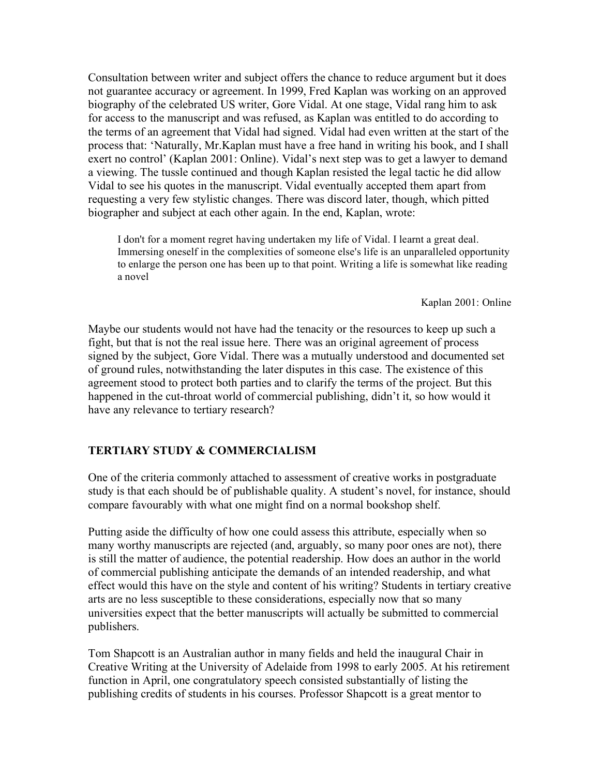Consultation between writer and subject offers the chance to reduce argument but it does not guarantee accuracy or agreement. In 1999, Fred Kaplan was working on an approved biography of the celebrated US writer, Gore Vidal. At one stage, Vidal rang him to ask for access to the manuscript and was refused, as Kaplan was entitled to do according to the terms of an agreement that Vidal had signed. Vidal had even written at the start of the process that: 'Naturally, Mr.Kaplan must have a free hand in writing his book, and I shall exert no control' (Kaplan 2001: Online). Vidal's next step was to get a lawyer to demand a viewing. The tussle continued and though Kaplan resisted the legal tactic he did allow Vidal to see his quotes in the manuscript. Vidal eventually accepted them apart from requesting a very few stylistic changes. There was discord later, though, which pitted biographer and subject at each other again. In the end, Kaplan, wrote:

I don't for a moment regret having undertaken my life of Vidal. I learnt a great deal. Immersing oneself in the complexities of someone else's life is an unparalleled opportunity to enlarge the person one has been up to that point. Writing a life is somewhat like reading a novel

Kaplan 2001: Online

Maybe our students would not have had the tenacity or the resources to keep up such a fight, but that ís not the real issue here. There was an original agreement of process signed by the subject, Gore Vidal. There was a mutually understood and documented set of ground rules, notwithstanding the later disputes in this case. The existence of this agreement stood to protect both parties and to clarify the terms of the project. But this happened in the cut-throat world of commercial publishing, didn't it, so how would it have any relevance to tertiary research?

#### **TERTIARY STUDY & COMMERCIALISM**

One of the criteria commonly attached to assessment of creative works in postgraduate study is that each should be of publishable quality. A student's novel, for instance, should compare favourably with what one might find on a normal bookshop shelf.

Putting aside the difficulty of how one could assess this attribute, especially when so many worthy manuscripts are rejected (and, arguably, so many poor ones are not), there is still the matter of audience, the potential readership. How does an author in the world of commercial publishing anticipate the demands of an intended readership, and what effect would this have on the style and content of his writing? Students in tertiary creative arts are no less susceptible to these considerations, especially now that so many universities expect that the better manuscripts will actually be submitted to commercial publishers.

Tom Shapcott is an Australian author in many fields and held the inaugural Chair in Creative Writing at the University of Adelaide from 1998 to early 2005. At his retirement function in April, one congratulatory speech consisted substantially of listing the publishing credits of students in his courses. Professor Shapcott is a great mentor to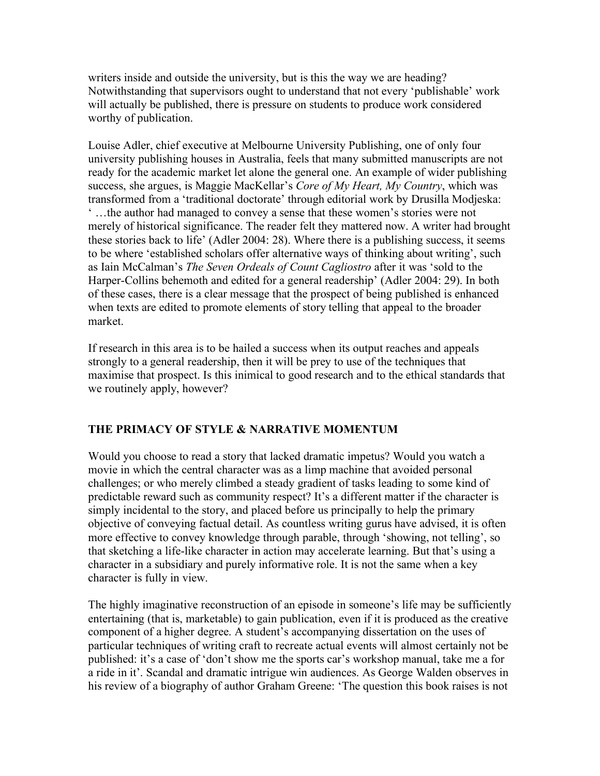writers inside and outside the university, but is this the way we are heading? Notwithstanding that supervisors ought to understand that not every 'publishable' work will actually be published, there is pressure on students to produce work considered worthy of publication.

Louise Adler, chief executive at Melbourne University Publishing, one of only four university publishing houses in Australia, feels that many submitted manuscripts are not ready for the academic market let alone the general one. An example of wider publishing success, she argues, is Maggie MacKellar's *Core of My Heart, My Country*, which was transformed from a 'traditional doctorate' through editorial work by Drusilla Modjeska: ' …the author had managed to convey a sense that these women's stories were not merely of historical significance. The reader felt they mattered now. A writer had brought these stories back to life' (Adler 2004: 28). Where there is a publishing success, it seems to be where 'established scholars offer alternative ways of thinking about writing', such as Iain McCalman's *The Seven Ordeals of Count Cagliostro* after it was 'sold to the Harper-Collins behemoth and edited for a general readership' (Adler 2004: 29). In both of these cases, there is a clear message that the prospect of being published is enhanced when texts are edited to promote elements of story telling that appeal to the broader market.

If research in this area is to be hailed a success when its output reaches and appeals strongly to a general readership, then it will be prey to use of the techniques that maximise that prospect. Is this inimical to good research and to the ethical standards that we routinely apply, however?

# **THE PRIMACY OF STYLE & NARRATIVE MOMENTUM**

Would you choose to read a story that lacked dramatic impetus? Would you watch a movie in which the central character was as a limp machine that avoided personal challenges; or who merely climbed a steady gradient of tasks leading to some kind of predictable reward such as community respect? It's a different matter if the character is simply incidental to the story, and placed before us principally to help the primary objective of conveying factual detail. As countless writing gurus have advised, it is often more effective to convey knowledge through parable, through 'showing, not telling', so that sketching a life-like character in action may accelerate learning. But that's using a character in a subsidiary and purely informative role. It is not the same when a key character is fully in view.

The highly imaginative reconstruction of an episode in someone's life may be sufficiently entertaining (that is, marketable) to gain publication, even if it is produced as the creative component of a higher degree. A student's accompanying dissertation on the uses of particular techniques of writing craft to recreate actual events will almost certainly not be published: it's a case of 'don't show me the sports car's workshop manual, take me a for a ride in it'. Scandal and dramatic intrigue win audiences. As George Walden observes in his review of a biography of author Graham Greene: 'The question this book raises is not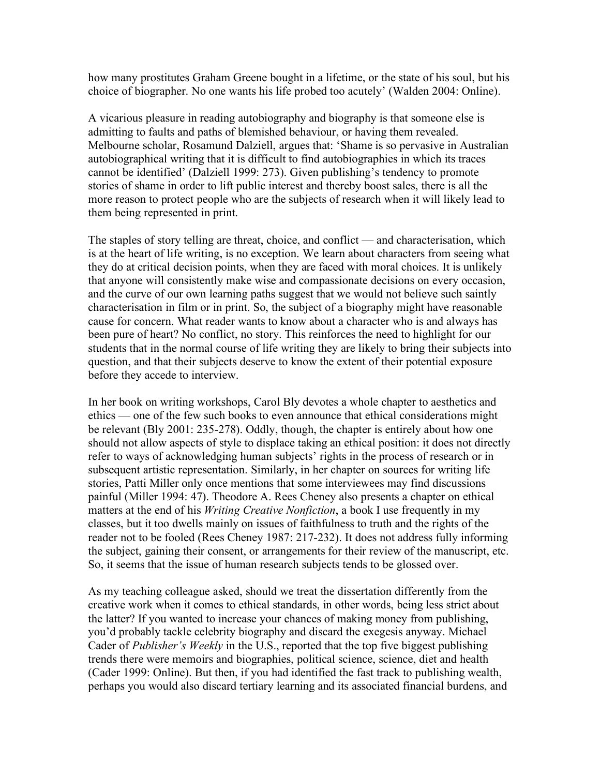how many prostitutes Graham Greene bought in a lifetime, or the state of his soul, but his choice of biographer. No one wants his life probed too acutely' (Walden 2004: Online).

A vicarious pleasure in reading autobiography and biography is that someone else is admitting to faults and paths of blemished behaviour, or having them revealed. Melbourne scholar, Rosamund Dalziell, argues that: 'Shame is so pervasive in Australian autobiographical writing that it is difficult to find autobiographies in which its traces cannot be identified' (Dalziell 1999: 273). Given publishing's tendency to promote stories of shame in order to lift public interest and thereby boost sales, there is all the more reason to protect people who are the subjects of research when it will likely lead to them being represented in print.

The staples of story telling are threat, choice, and conflict — and characterisation, which is at the heart of life writing, is no exception. We learn about characters from seeing what they do at critical decision points, when they are faced with moral choices. It is unlikely that anyone will consistently make wise and compassionate decisions on every occasion, and the curve of our own learning paths suggest that we would not believe such saintly characterisation in film or in print. So, the subject of a biography might have reasonable cause for concern. What reader wants to know about a character who is and always has been pure of heart? No conflict, no story. This reinforces the need to highlight for our students that in the normal course of life writing they are likely to bring their subjects into question, and that their subjects deserve to know the extent of their potential exposure before they accede to interview.

In her book on writing workshops, Carol Bly devotes a whole chapter to aesthetics and ethics — one of the few such books to even announce that ethical considerations might be relevant (Bly 2001: 235-278). Oddly, though, the chapter is entirely about how one should not allow aspects of style to displace taking an ethical position: it does not directly refer to ways of acknowledging human subjects' rights in the process of research or in subsequent artistic representation. Similarly, in her chapter on sources for writing life stories, Patti Miller only once mentions that some interviewees may find discussions painful (Miller 1994: 47). Theodore A. Rees Cheney also presents a chapter on ethical matters at the end of his *Writing Creative Nonfiction*, a book I use frequently in my classes, but it too dwells mainly on issues of faithfulness to truth and the rights of the reader not to be fooled (Rees Cheney 1987: 217-232). It does not address fully informing the subject, gaining their consent, or arrangements for their review of the manuscript, etc. So, it seems that the issue of human research subjects tends to be glossed over.

As my teaching colleague asked, should we treat the dissertation differently from the creative work when it comes to ethical standards, in other words, being less strict about the latter? If you wanted to increase your chances of making money from publishing, you'd probably tackle celebrity biography and discard the exegesis anyway. Michael Cader of *Publisher's Weekly* in the U.S., reported that the top five biggest publishing trends there were memoirs and biographies, political science, science, diet and health (Cader 1999: Online). But then, if you had identified the fast track to publishing wealth, perhaps you would also discard tertiary learning and its associated financial burdens, and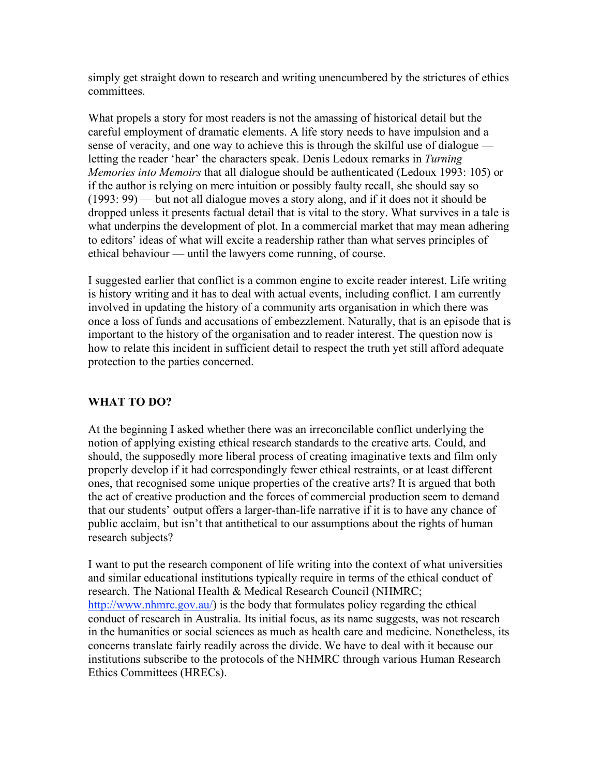simply get straight down to research and writing unencumbered by the strictures of ethics committees.

What propels a story for most readers is not the amassing of historical detail but the careful employment of dramatic elements. A life story needs to have impulsion and a sense of veracity, and one way to achieve this is through the skilful use of dialogue letting the reader 'hear' the characters speak. Denis Ledoux remarks in *Turning Memories into Memoirs* that all dialogue should be authenticated (Ledoux 1993: 105) or if the author is relying on mere intuition or possibly faulty recall, she should say so (1993: 99) — but not all dialogue moves a story along, and if it does not it should be dropped unless it presents factual detail that is vital to the story. What survives in a tale is what underpins the development of plot. In a commercial market that may mean adhering to editors' ideas of what will excite a readership rather than what serves principles of ethical behaviour — until the lawyers come running, of course.

I suggested earlier that conflict is a common engine to excite reader interest. Life writing is history writing and it has to deal with actual events, including conflict. I am currently involved in updating the history of a community arts organisation in which there was once a loss of funds and accusations of embezzlement. Naturally, that is an episode that is important to the history of the organisation and to reader interest. The question now is how to relate this incident in sufficient detail to respect the truth yet still afford adequate protection to the parties concerned.

## **WHAT TO DO?**

At the beginning I asked whether there was an irreconcilable conflict underlying the notion of applying existing ethical research standards to the creative arts. Could, and should, the supposedly more liberal process of creating imaginative texts and film only properly develop if it had correspondingly fewer ethical restraints, or at least different ones, that recognised some unique properties of the creative arts? It is argued that both the act of creative production and the forces of commercial production seem to demand that our students' output offers a larger-than-life narrative if it is to have any chance of public acclaim, but isn't that antithetical to our assumptions about the rights of human research subjects?

I want to put the research component of life writing into the context of what universities and similar educational institutions typically require in terms of the ethical conduct of research. The National Health & Medical Research Council (NHMRC; http://www.nhmrc.gov.au/) is the body that formulates policy regarding the ethical conduct of research in Australia. Its initial focus, as its name suggests, was not research in the humanities or social sciences as much as health care and medicine. Nonetheless, its concerns translate fairly readily across the divide. We have to deal with it because our institutions subscribe to the protocols of the NHMRC through various Human Research Ethics Committees (HRECs).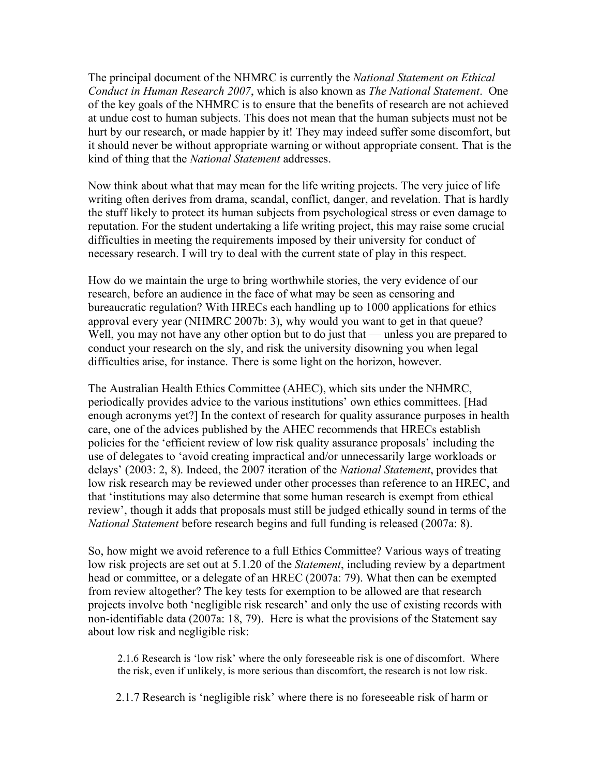The principal document of the NHMRC is currently the *National Statement on Ethical Conduct in Human Research 2007*, which is also known as *The National Statement*. One of the key goals of the NHMRC is to ensure that the benefits of research are not achieved at undue cost to human subjects. This does not mean that the human subjects must not be hurt by our research, or made happier by it! They may indeed suffer some discomfort, but it should never be without appropriate warning or without appropriate consent. That is the kind of thing that the *National Statement* addresses.

Now think about what that may mean for the life writing projects. The very juice of life writing often derives from drama, scandal, conflict, danger, and revelation. That is hardly the stuff likely to protect its human subjects from psychological stress or even damage to reputation. For the student undertaking a life writing project, this may raise some crucial difficulties in meeting the requirements imposed by their university for conduct of necessary research. I will try to deal with the current state of play in this respect.

How do we maintain the urge to bring worthwhile stories, the very evidence of our research, before an audience in the face of what may be seen as censoring and bureaucratic regulation? With HRECs each handling up to 1000 applications for ethics approval every year (NHMRC 2007b: 3), why would you want to get in that queue? Well, you may not have any other option but to do just that — unless you are prepared to conduct your research on the sly, and risk the university disowning you when legal difficulties arise, for instance. There is some light on the horizon, however.

The Australian Health Ethics Committee (AHEC), which sits under the NHMRC, periodically provides advice to the various institutions' own ethics committees. [Had enough acronyms yet?] In the context of research for quality assurance purposes in health care, one of the advices published by the AHEC recommends that HRECs establish policies for the 'efficient review of low risk quality assurance proposals' including the use of delegates to 'avoid creating impractical and/or unnecessarily large workloads or delays' (2003: 2, 8). Indeed, the 2007 iteration of the *National Statement*, provides that low risk research may be reviewed under other processes than reference to an HREC, and that 'institutions may also determine that some human research is exempt from ethical review', though it adds that proposals must still be judged ethically sound in terms of the *National Statement* before research begins and full funding is released (2007a: 8).

So, how might we avoid reference to a full Ethics Committee? Various ways of treating low risk projects are set out at 5.1.20 of the *Statement*, including review by a department head or committee, or a delegate of an HREC (2007a: 79). What then can be exempted from review altogether? The key tests for exemption to be allowed are that research projects involve both 'negligible risk research' and only the use of existing records with non-identifiable data (2007a: 18, 79). Here is what the provisions of the Statement say about low risk and negligible risk:

2.1.6 Research is 'low risk' where the only foreseeable risk is one of discomfort. Where the risk, even if unlikely, is more serious than discomfort, the research is not low risk.

2.1.7 Research is 'negligible risk' where there is no foreseeable risk of harm or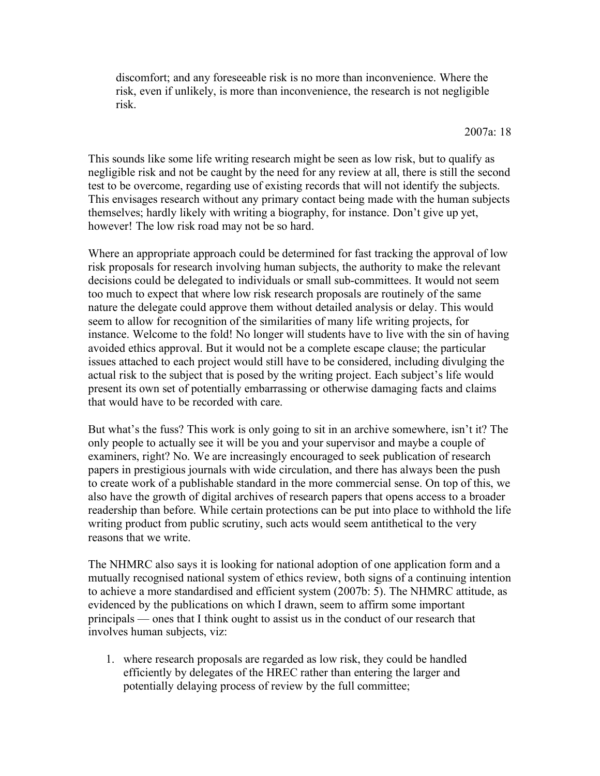discomfort; and any foreseeable risk is no more than inconvenience. Where the risk, even if unlikely, is more than inconvenience, the research is not negligible risk.

2007a: 18

This sounds like some life writing research might be seen as low risk, but to qualify as negligible risk and not be caught by the need for any review at all, there is still the second test to be overcome, regarding use of existing records that will not identify the subjects. This envisages research without any primary contact being made with the human subjects themselves; hardly likely with writing a biography, for instance. Don't give up yet, however! The low risk road may not be so hard.

Where an appropriate approach could be determined for fast tracking the approval of low risk proposals for research involving human subjects, the authority to make the relevant decisions could be delegated to individuals or small sub-committees. It would not seem too much to expect that where low risk research proposals are routinely of the same nature the delegate could approve them without detailed analysis or delay. This would seem to allow for recognition of the similarities of many life writing projects, for instance. Welcome to the fold! No longer will students have to live with the sin of having avoided ethics approval. But it would not be a complete escape clause; the particular issues attached to each project would still have to be considered, including divulging the actual risk to the subject that is posed by the writing project. Each subject's life would present its own set of potentially embarrassing or otherwise damaging facts and claims that would have to be recorded with care.

But what's the fuss? This work is only going to sit in an archive somewhere, isn't it? The only people to actually see it will be you and your supervisor and maybe a couple of examiners, right? No. We are increasingly encouraged to seek publication of research papers in prestigious journals with wide circulation, and there has always been the push to create work of a publishable standard in the more commercial sense. On top of this, we also have the growth of digital archives of research papers that opens access to a broader readership than before. While certain protections can be put into place to withhold the life writing product from public scrutiny, such acts would seem antithetical to the very reasons that we write.

The NHMRC also says it is looking for national adoption of one application form and a mutually recognised national system of ethics review, both signs of a continuing intention to achieve a more standardised and efficient system (2007b: 5). The NHMRC attitude, as evidenced by the publications on which I drawn, seem to affirm some important principals — ones that I think ought to assist us in the conduct of our research that involves human subjects, viz:

1. where research proposals are regarded as low risk, they could be handled efficiently by delegates of the HREC rather than entering the larger and potentially delaying process of review by the full committee;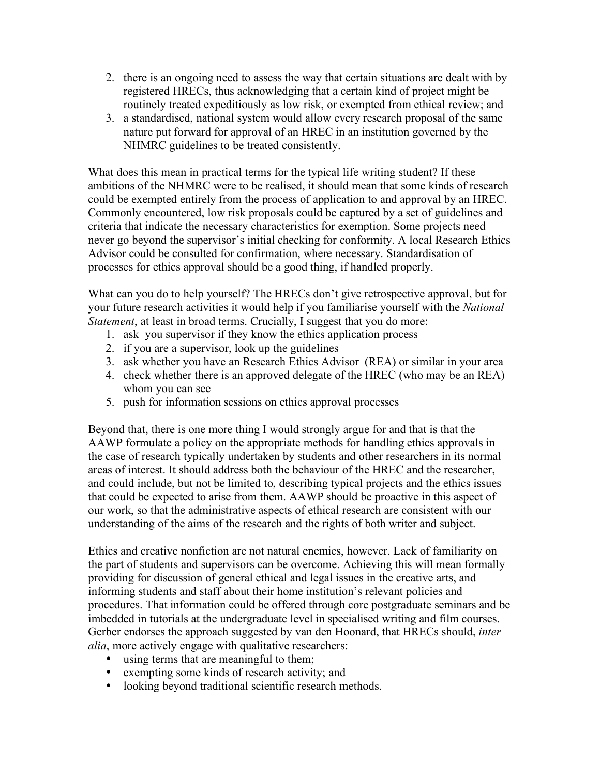- 2. there is an ongoing need to assess the way that certain situations are dealt with by registered HRECs, thus acknowledging that a certain kind of project might be routinely treated expeditiously as low risk, or exempted from ethical review; and
- 3. a standardised, national system would allow every research proposal of the same nature put forward for approval of an HREC in an institution governed by the NHMRC guidelines to be treated consistently.

What does this mean in practical terms for the typical life writing student? If these ambitions of the NHMRC were to be realised, it should mean that some kinds of research could be exempted entirely from the process of application to and approval by an HREC. Commonly encountered, low risk proposals could be captured by a set of guidelines and criteria that indicate the necessary characteristics for exemption. Some projects need never go beyond the supervisor's initial checking for conformity. A local Research Ethics Advisor could be consulted for confirmation, where necessary. Standardisation of processes for ethics approval should be a good thing, if handled properly.

What can you do to help yourself? The HRECs don't give retrospective approval, but for your future research activities it would help if you familiarise yourself with the *National Statement*, at least in broad terms. Crucially, I suggest that you do more:

- 1. ask you supervisor if they know the ethics application process
- 2. if you are a supervisor, look up the guidelines
- 3. ask whether you have an Research Ethics Advisor (REA) or similar in your area
- 4. check whether there is an approved delegate of the HREC (who may be an REA) whom you can see
- 5. push for information sessions on ethics approval processes

Beyond that, there is one more thing I would strongly argue for and that is that the AAWP formulate a policy on the appropriate methods for handling ethics approvals in the case of research typically undertaken by students and other researchers in its normal areas of interest. It should address both the behaviour of the HREC and the researcher, and could include, but not be limited to, describing typical projects and the ethics issues that could be expected to arise from them. AAWP should be proactive in this aspect of our work, so that the administrative aspects of ethical research are consistent with our understanding of the aims of the research and the rights of both writer and subject.

Ethics and creative nonfiction are not natural enemies, however. Lack of familiarity on the part of students and supervisors can be overcome. Achieving this will mean formally providing for discussion of general ethical and legal issues in the creative arts, and informing students and staff about their home institution's relevant policies and procedures. That information could be offered through core postgraduate seminars and be imbedded in tutorials at the undergraduate level in specialised writing and film courses. Gerber endorses the approach suggested by van den Hoonard, that HRECs should, *inter alia*, more actively engage with qualitative researchers:

- using terms that are meaningful to them;
- exempting some kinds of research activity; and
- looking beyond traditional scientific research methods.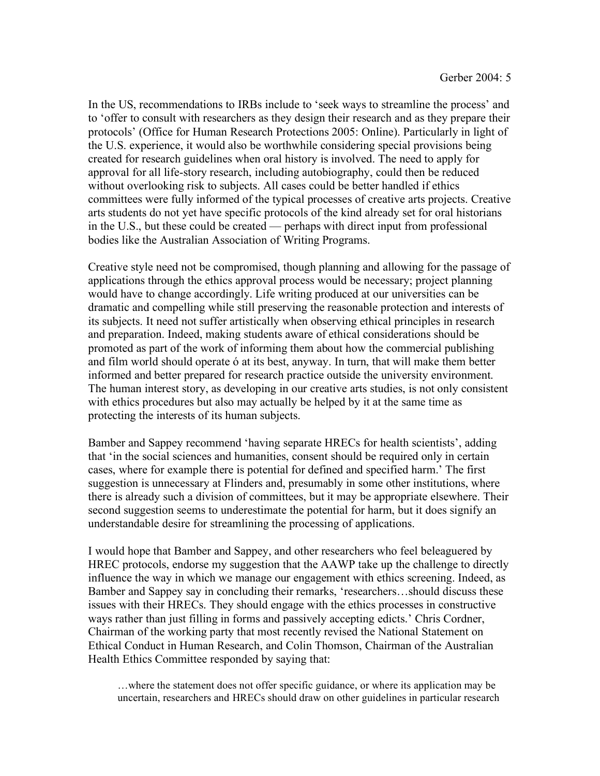In the US, recommendations to IRBs include to 'seek ways to streamline the process' and to 'offer to consult with researchers as they design their research and as they prepare their protocols' (Office for Human Research Protections 2005: Online). Particularly in light of the U.S. experience, it would also be worthwhile considering special provisions being created for research guidelines when oral history is involved. The need to apply for approval for all life-story research, including autobiography, could then be reduced without overlooking risk to subjects. All cases could be better handled if ethics committees were fully informed of the typical processes of creative arts projects. Creative arts students do not yet have specific protocols of the kind already set for oral historians in the U.S., but these could be created — perhaps with direct input from professional bodies like the Australian Association of Writing Programs.

Creative style need not be compromised, though planning and allowing for the passage of applications through the ethics approval process would be necessary; project planning would have to change accordingly. Life writing produced at our universities can be dramatic and compelling while still preserving the reasonable protection and interests of its subjects. It need not suffer artistically when observing ethical principles in research and preparation. Indeed, making students aware of ethical considerations should be promoted as part of the work of informing them about how the commercial publishing and film world should operate ó at its best, anyway. In turn, that will make them better informed and better prepared for research practice outside the university environment. The human interest story, as developing in our creative arts studies, is not only consistent with ethics procedures but also may actually be helped by it at the same time as protecting the interests of its human subjects.

Bamber and Sappey recommend 'having separate HRECs for health scientists', adding that 'in the social sciences and humanities, consent should be required only in certain cases, where for example there is potential for defined and specified harm.' The first suggestion is unnecessary at Flinders and, presumably in some other institutions, where there is already such a division of committees, but it may be appropriate elsewhere. Their second suggestion seems to underestimate the potential for harm, but it does signify an understandable desire for streamlining the processing of applications.

I would hope that Bamber and Sappey, and other researchers who feel beleaguered by HREC protocols, endorse my suggestion that the AAWP take up the challenge to directly influence the way in which we manage our engagement with ethics screening. Indeed, as Bamber and Sappey say in concluding their remarks, 'researchers…should discuss these issues with their HRECs. They should engage with the ethics processes in constructive ways rather than just filling in forms and passively accepting edicts.' Chris Cordner, Chairman of the working party that most recently revised the National Statement on Ethical Conduct in Human Research, and Colin Thomson, Chairman of the Australian Health Ethics Committee responded by saying that:

…where the statement does not offer specific guidance, or where its application may be uncertain, researchers and HRECs should draw on other guidelines in particular research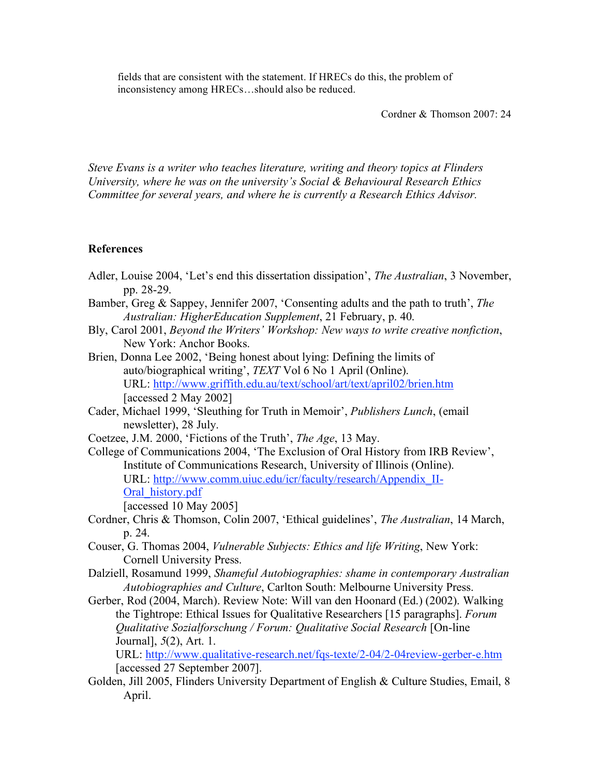fields that are consistent with the statement. If HRECs do this, the problem of inconsistency among HRECs…should also be reduced.

Cordner & Thomson 2007: 24

*Steve Evans is a writer who teaches literature, writing and theory topics at Flinders University, where he was on the university's Social & Behavioural Research Ethics Committee for several years, and where he is currently a Research Ethics Advisor.*

#### **References**

- Adler, Louise 2004, 'Let's end this dissertation dissipation', *The Australian*, 3 November, pp. 28-29.
- Bamber, Greg & Sappey, Jennifer 2007, 'Consenting adults and the path to truth', *The Australian: HigherEducation Supplement*, 21 February, p. 40.
- Bly, Carol 2001, *Beyond the Writers' Workshop: New ways to write creative nonfiction*, New York: Anchor Books.
- Brien, Donna Lee 2002, 'Being honest about lying: Defining the limits of auto/biographical writing', *TEXT* Vol 6 No 1 April (Online). URL: http://www.griffith.edu.au/text/school/art/text/april02/brien.htm [accessed 2 May 2002]
- Cader, Michael 1999, 'Sleuthing for Truth in Memoir', *Publishers Lunch*, (email newsletter), 28 July.
- Coetzee, J.M. 2000, 'Fictions of the Truth', *The Age*, 13 May.
- College of Communications 2004, 'The Exclusion of Oral History from IRB Review', Institute of Communications Research, University of Illinois (Online). URL: http://www.comm.uiuc.edu/icr/faculty/research/Appendix\_II-Oral history.pdf
	- [accessed 10 May 2005]
- Cordner, Chris & Thomson, Colin 2007, 'Ethical guidelines', *The Australian*, 14 March, p. 24.
- Couser, G. Thomas 2004, *Vulnerable Subjects: Ethics and life Writing*, New York: Cornell University Press.
- Dalziell, Rosamund 1999, *Shameful Autobiographies: shame in contemporary Australian Autobiographies and Culture*, Carlton South: Melbourne University Press.
- Gerber, Rod (2004, March). Review Note: Will van den Hoonard (Ed.) (2002). Walking the Tightrope: Ethical Issues for Qualitative Researchers [15 paragraphs]. *Forum Qualitative Sozialforschung / Forum: Qualitative Social Research* [On-line Journal], *5*(2), Art. 1.

URL: http://www.qualitative-research.net/fqs-texte/2-04/2-04review-gerber-e.htm [accessed 27 September 2007].

Golden, Jill 2005, Flinders University Department of English & Culture Studies, Email, 8 April.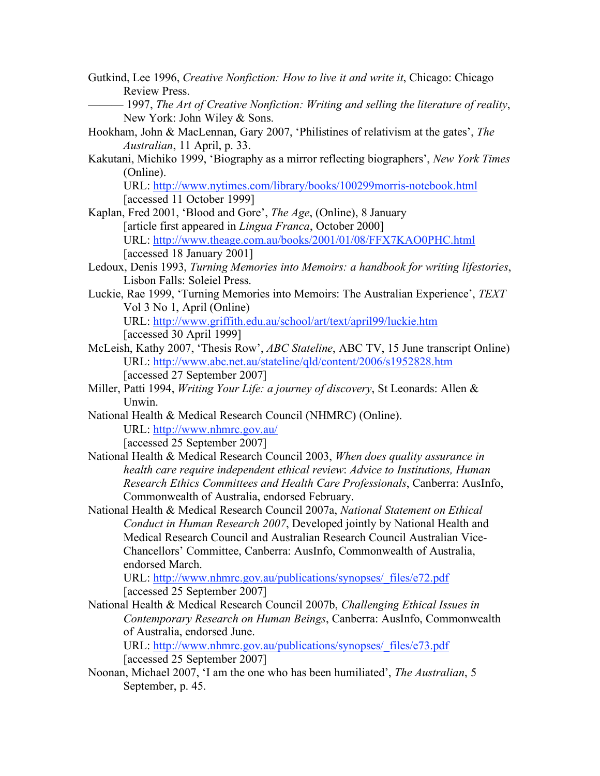- Gutkind, Lee 1996, *Creative Nonfiction: How to live it and write it*, Chicago: Chicago Review Press.
- ——— 1997, *The Art of Creative Nonfiction: Writing and selling the literature of reality*, New York: John Wiley & Sons.
- Hookham, John & MacLennan, Gary 2007, 'Philistines of relativism at the gates', *The Australian*, 11 April, p. 33.
- Kakutani, Michiko 1999, 'Biography as a mirror reflecting biographers', *New York Times* (Online).

URL: http://www.nytimes.com/library/books/100299morris-notebook.html [accessed 11 October 1999]

- Kaplan, Fred 2001, 'Blood and Gore', *The Age*, (Online), 8 January [article first appeared in *Lingua Franca*, October 2000] URL: http://www.theage.com.au/books/2001/01/08/FFX7KAO0PHC.html [accessed 18 January 2001]
- Ledoux, Denis 1993, *Turning Memories into Memoirs: a handbook for writing lifestories*, Lisbon Falls: Soleiel Press.
- Luckie, Rae 1999, 'Turning Memories into Memoirs: The Australian Experience', *TEXT* Vol 3 No 1, April (Online) URL: http://www.griffith.edu.au/school/art/text/april99/luckie.htm [accessed 30 April 1999]
- McLeish, Kathy 2007, 'Thesis Row', *ABC Stateline*, ABC TV, 15 June transcript Online) URL: http://www.abc.net.au/stateline/qld/content/2006/s1952828.htm [accessed 27 September 2007]
- Miller, Patti 1994, *Writing Your Life: a journey of discovery*, St Leonards: Allen & Unwin.
- National Health & Medical Research Council (NHMRC) (Online). URL: http://www.nhmrc.gov.au/

[accessed 25 September 2007]

- National Health & Medical Research Council 2003, *When does quality assurance in health care require independent ethical review*: *Advice to Institutions, Human Research Ethics Committees and Health Care Professionals*, Canberra: AusInfo, Commonwealth of Australia, endorsed February.
- National Health & Medical Research Council 2007a, *National Statement on Ethical Conduct in Human Research 2007*, Developed jointly by National Health and Medical Research Council and Australian Research Council Australian Vice-Chancellors' Committee, Canberra: AusInfo, Commonwealth of Australia, endorsed March.

URL: http://www.nhmrc.gov.au/publications/synopses/\_files/e72.pdf [accessed 25 September 2007]

National Health & Medical Research Council 2007b, *Challenging Ethical Issues in Contemporary Research on Human Beings*, Canberra: AusInfo, Commonwealth of Australia, endorsed June.

URL: http://www.nhmrc.gov.au/publications/synopses/\_files/e73.pdf [accessed 25 September 2007]

Noonan, Michael 2007, 'I am the one who has been humiliated', *The Australian*, 5 September, p. 45.